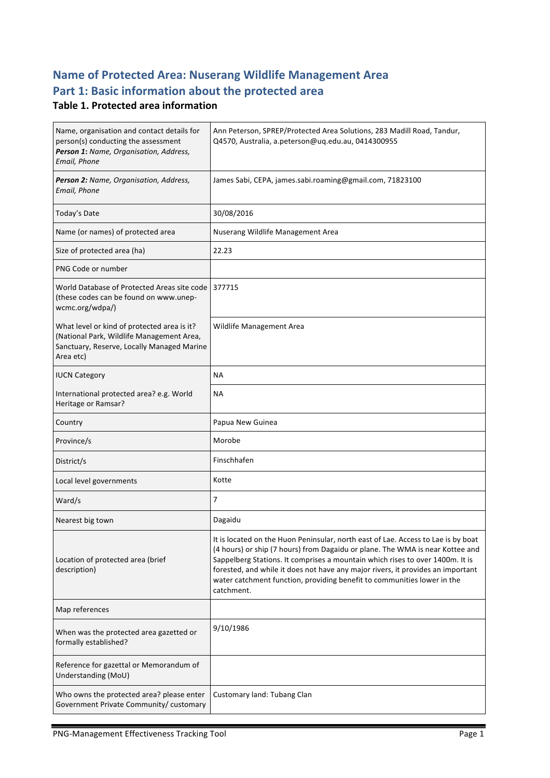# **Name of Protected Area: Nuserang Wildlife Management Area** Part 1: Basic information about the protected area

#### **Table 1. Protected area information**

| Name, organisation and contact details for<br>person(s) conducting the assessment<br>Person 1: Name, Organisation, Address,<br>Email, Phone         | Ann Peterson, SPREP/Protected Area Solutions, 283 Madill Road, Tandur,<br>Q4570, Australia, a.peterson@uq.edu.au, 0414300955                                                                                                                                                                                                                                                                                                    |
|-----------------------------------------------------------------------------------------------------------------------------------------------------|---------------------------------------------------------------------------------------------------------------------------------------------------------------------------------------------------------------------------------------------------------------------------------------------------------------------------------------------------------------------------------------------------------------------------------|
| Person 2: Name, Organisation, Address,<br>Email, Phone                                                                                              | James Sabi, CEPA, james.sabi.roaming@gmail.com, 71823100                                                                                                                                                                                                                                                                                                                                                                        |
| Today's Date                                                                                                                                        | 30/08/2016                                                                                                                                                                                                                                                                                                                                                                                                                      |
| Name (or names) of protected area                                                                                                                   | Nuserang Wildlife Management Area                                                                                                                                                                                                                                                                                                                                                                                               |
| Size of protected area (ha)                                                                                                                         | 22.23                                                                                                                                                                                                                                                                                                                                                                                                                           |
| PNG Code or number                                                                                                                                  |                                                                                                                                                                                                                                                                                                                                                                                                                                 |
| World Database of Protected Areas site code 377715<br>(these codes can be found on www.unep-<br>wcmc.org/wdpa/)                                     |                                                                                                                                                                                                                                                                                                                                                                                                                                 |
| What level or kind of protected area is it?<br>(National Park, Wildlife Management Area,<br>Sanctuary, Reserve, Locally Managed Marine<br>Area etc) | Wildlife Management Area                                                                                                                                                                                                                                                                                                                                                                                                        |
| <b>IUCN Category</b>                                                                                                                                | NА                                                                                                                                                                                                                                                                                                                                                                                                                              |
| International protected area? e.g. World<br>Heritage or Ramsar?                                                                                     | NА                                                                                                                                                                                                                                                                                                                                                                                                                              |
| Country                                                                                                                                             | Papua New Guinea                                                                                                                                                                                                                                                                                                                                                                                                                |
| Province/s                                                                                                                                          | Morobe                                                                                                                                                                                                                                                                                                                                                                                                                          |
| District/s                                                                                                                                          | Finschhafen                                                                                                                                                                                                                                                                                                                                                                                                                     |
| Local level governments                                                                                                                             | Kotte                                                                                                                                                                                                                                                                                                                                                                                                                           |
| Ward/s                                                                                                                                              | 7                                                                                                                                                                                                                                                                                                                                                                                                                               |
| Nearest big town                                                                                                                                    | Dagaidu                                                                                                                                                                                                                                                                                                                                                                                                                         |
| Location of protected area (brief<br>description)                                                                                                   | It is located on the Huon Peninsular, north east of Lae. Access to Lae is by boat<br>(4 hours) or ship (7 hours) from Dagaidu or plane. The WMA is near Kottee and<br>Sappelberg Stations. It comprises a mountain which rises to over 1400m. It is<br>forested, and while it does not have any major rivers, it provides an important<br>water catchment function, providing benefit to communities lower in the<br>catchment. |
| Map references                                                                                                                                      |                                                                                                                                                                                                                                                                                                                                                                                                                                 |
| When was the protected area gazetted or<br>formally established?                                                                                    | 9/10/1986                                                                                                                                                                                                                                                                                                                                                                                                                       |
| Reference for gazettal or Memorandum of<br>Understanding (MoU)                                                                                      |                                                                                                                                                                                                                                                                                                                                                                                                                                 |
| Who owns the protected area? please enter<br>Government Private Community/ customary                                                                | Customary land: Tubang Clan                                                                                                                                                                                                                                                                                                                                                                                                     |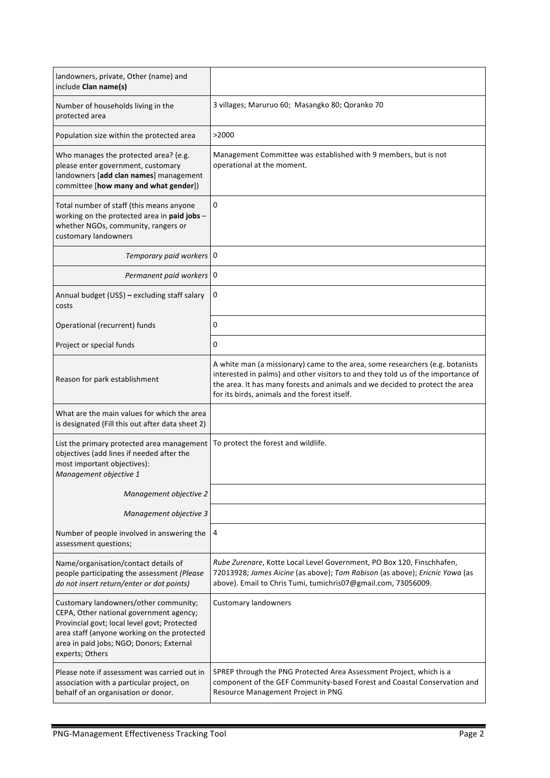| landowners, private, Other (name) and<br>include Clan name(s)                                                                                                                                                                                  |                                                                                                                                                                                                                                                                                                    |
|------------------------------------------------------------------------------------------------------------------------------------------------------------------------------------------------------------------------------------------------|----------------------------------------------------------------------------------------------------------------------------------------------------------------------------------------------------------------------------------------------------------------------------------------------------|
| Number of households living in the<br>protected area                                                                                                                                                                                           | 3 villages; Maruruo 60; Masangko 80; Qoranko 70                                                                                                                                                                                                                                                    |
| Population size within the protected area                                                                                                                                                                                                      | >2000                                                                                                                                                                                                                                                                                              |
| Who manages the protected area? (e.g.<br>please enter government, customary<br>landowners [add clan names] management<br>committee [how many and what gender])                                                                                 | Management Committee was established with 9 members, but is not<br>operational at the moment.                                                                                                                                                                                                      |
| Total number of staff (this means anyone<br>working on the protected area in paid jobs -<br>whether NGOs, community, rangers or<br>customary landowners                                                                                        | 0                                                                                                                                                                                                                                                                                                  |
| Temporary paid workers 0                                                                                                                                                                                                                       |                                                                                                                                                                                                                                                                                                    |
| Permanent paid workers   0                                                                                                                                                                                                                     |                                                                                                                                                                                                                                                                                                    |
| Annual budget (US\$) - excluding staff salary<br>costs                                                                                                                                                                                         | 0                                                                                                                                                                                                                                                                                                  |
| Operational (recurrent) funds                                                                                                                                                                                                                  | 0                                                                                                                                                                                                                                                                                                  |
| Project or special funds                                                                                                                                                                                                                       | 0                                                                                                                                                                                                                                                                                                  |
| Reason for park establishment                                                                                                                                                                                                                  | A white man (a missionary) came to the area, some researchers (e.g. botanists<br>interested in palms) and other visitors to and they told us of the importance of<br>the area. It has many forests and animals and we decided to protect the area<br>for its birds, animals and the forest itself. |
| What are the main values for which the area<br>is designated (Fill this out after data sheet 2)                                                                                                                                                |                                                                                                                                                                                                                                                                                                    |
| List the primary protected area management<br>objectives (add lines if needed after the<br>most important objectives):<br>Management objective 1                                                                                               | To protect the forest and wildlife.                                                                                                                                                                                                                                                                |
| Management objective 2                                                                                                                                                                                                                         |                                                                                                                                                                                                                                                                                                    |
| Management objective 3                                                                                                                                                                                                                         |                                                                                                                                                                                                                                                                                                    |
| Number of people involved in answering the<br>assessment questions;                                                                                                                                                                            | 4                                                                                                                                                                                                                                                                                                  |
| Name/organisation/contact details of<br>people participating the assessment (Please<br>do not insert return/enter or dot points)                                                                                                               | Rube Zurenare, Kotte Local Level Government, PO Box 120, Finschhafen,<br>72013928; James Aicine (as above); Tom Rabison (as above); Ericnic Yowa (as<br>above). Email to Chris Tumi, tumichris07@gmail.com, 73056009.                                                                              |
| Customary landowners/other community;<br>CEPA, Other national government agency;<br>Provincial govt; local level govt; Protected<br>area staff (anyone working on the protected<br>area in paid jobs; NGO; Donors; External<br>experts; Others | Customary landowners                                                                                                                                                                                                                                                                               |
| Please note if assessment was carried out in<br>association with a particular project, on<br>behalf of an organisation or donor.                                                                                                               | SPREP through the PNG Protected Area Assessment Project, which is a<br>component of the GEF Community-based Forest and Coastal Conservation and<br>Resource Management Project in PNG                                                                                                              |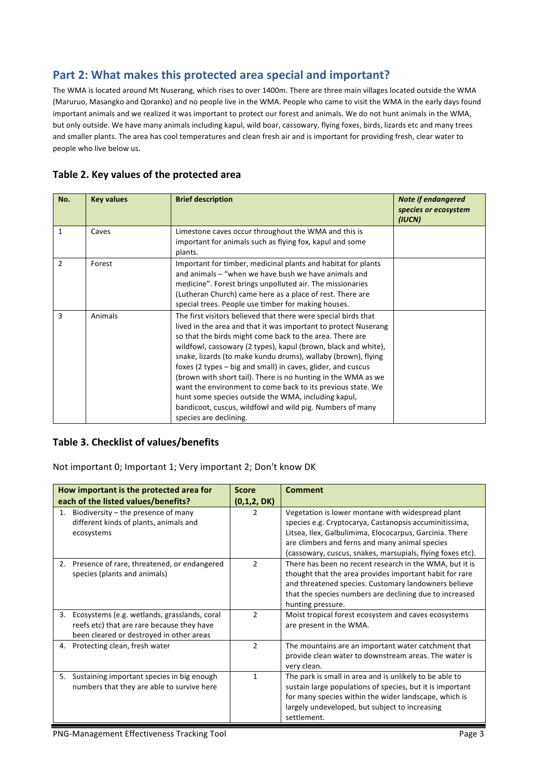# Part 2: What makes this protected area special and important?

The WMA is located around Mt Nuserang, which rises to over 1400m. There are three main villages located outside the WMA (Maruruo, Masangko and Qoranko) and no people live in the WMA. People who came to visit the WMA in the early days found important animals and we realized it was important to protect our forest and animals. We do not hunt animals in the WMA, but only outside. We have many animals including kapul, wild boar, cassowary, flying foxes, birds, lizards etc and many trees and smaller plants. The area has cool temperatures and clean fresh air and is important for providing fresh, clear water to people who live below us.

## Table 2. Key values of the protected area

| No.          | <b>Key values</b> | <b>Brief description</b>                                                                                                                                                                                                                                                                                                                                                                                                                                                                                                                                                                                                                                                       | <b>Note if endangered</b><br>species or ecosystem<br>(IUCN) |
|--------------|-------------------|--------------------------------------------------------------------------------------------------------------------------------------------------------------------------------------------------------------------------------------------------------------------------------------------------------------------------------------------------------------------------------------------------------------------------------------------------------------------------------------------------------------------------------------------------------------------------------------------------------------------------------------------------------------------------------|-------------------------------------------------------------|
| $\mathbf{1}$ | Caves             | Limestone caves occur throughout the WMA and this is<br>important for animals such as flying fox, kapul and some<br>plants.                                                                                                                                                                                                                                                                                                                                                                                                                                                                                                                                                    |                                                             |
| 2            | Forest            | Important for timber, medicinal plants and habitat for plants<br>and animals – "when we have bush we have animals and<br>medicine". Forest brings unpolluted air. The missionaries<br>(Lutheran Church) came here as a place of rest. There are<br>special trees. People use timber for making houses.                                                                                                                                                                                                                                                                                                                                                                         |                                                             |
| 3            | Animals           | The first visitors believed that there were special birds that<br>lived in the area and that it was important to protect Nuserang<br>so that the birds might come back to the area. There are<br>wildfowl, cassowary (2 types), kapul (brown, black and white),<br>snake, lizards (to make kundu drums), wallaby (brown), flying<br>foxes (2 types – big and small) in caves, glider, and cuscus<br>(brown with short tail). There is no hunting in the WMA as we<br>want the environment to come back to its previous state. We<br>hunt some species outside the WMA, including kapul,<br>bandicoot, cuscus, wildfowl and wild pig. Numbers of many<br>species are declining. |                                                             |

#### **Table 3. Checklist of values/benefits**

Not important 0; Important 1; Very important 2; Don't know DK

|    | How important is the protected area for                                                                                                | <b>Score</b>   | <b>Comment</b>                                                                                                                                                                                                                                                                         |
|----|----------------------------------------------------------------------------------------------------------------------------------------|----------------|----------------------------------------------------------------------------------------------------------------------------------------------------------------------------------------------------------------------------------------------------------------------------------------|
|    | each of the listed values/benefits?                                                                                                    | (0,1,2, DK)    |                                                                                                                                                                                                                                                                                        |
|    | Biodiversity - the presence of many<br>different kinds of plants, animals and<br>ecosystems                                            | $\mathcal{P}$  | Vegetation is lower montane with widespread plant<br>species e.g. Cryptocarya, Castanopsis accuminitissima,<br>Litsea, Ilex, Galbulimima, Elococarpus, Garcinia. There<br>are climbers and ferns and many animal species<br>(cassowary, cuscus, snakes, marsupials, flying foxes etc). |
| 2. | Presence of rare, threatened, or endangered<br>species (plants and animals)                                                            | $\mathcal{P}$  | There has been no recent research in the WMA, but it is<br>thought that the area provides important habit for rare<br>and threatened species. Customary landowners believe<br>that the species numbers are declining due to increased<br>hunting pressure.                             |
| 3. | Ecosystems (e.g. wetlands, grasslands, coral<br>reefs etc) that are rare because they have<br>been cleared or destroyed in other areas | $\mathcal{P}$  | Moist tropical forest ecosystem and caves ecosystems<br>are present in the WMA.                                                                                                                                                                                                        |
| 4. | Protecting clean, fresh water                                                                                                          | $\overline{2}$ | The mountains are an important water catchment that<br>provide clean water to downstream areas. The water is<br>very clean.                                                                                                                                                            |
| 5. | Sustaining important species in big enough<br>numbers that they are able to survive here                                               |                | The park is small in area and is unlikely to be able to<br>sustain large populations of species, but it is important<br>for many species within the wider landscape, which is<br>largely undeveloped, but subject to increasing<br>settlement.                                         |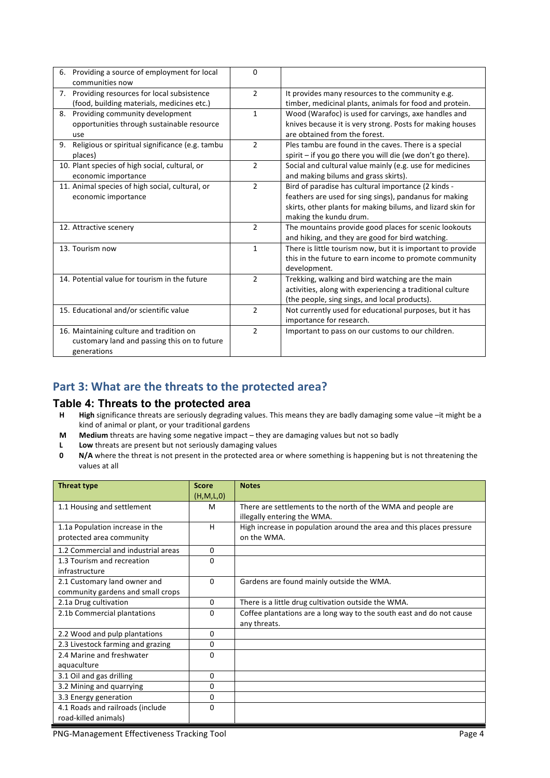| 6. Providing a source of employment for local<br>communities now | $\Omega$       |                                                              |
|------------------------------------------------------------------|----------------|--------------------------------------------------------------|
| 7. Providing resources for local subsistence                     | $\mathcal{L}$  | It provides many resources to the community e.g.             |
| (food, building materials, medicines etc.)                       |                | timber, medicinal plants, animals for food and protein.      |
| Providing community development<br>8.                            | $\mathbf{1}$   | Wood (Warafoc) is used for carvings, axe handles and         |
| opportunities through sustainable resource                       |                | knives because it is very strong. Posts for making houses    |
| use                                                              |                | are obtained from the forest.                                |
| Religious or spiritual significance (e.g. tambu<br>9.            | $\overline{2}$ | Ples tambu are found in the caves. There is a special        |
| places)                                                          |                | spirit $-$ if you go there you will die (we don't go there). |
| 10. Plant species of high social, cultural, or                   | $\overline{2}$ | Social and cultural value mainly (e.g. use for medicines     |
| economic importance                                              |                | and making bilums and grass skirts).                         |
| 11. Animal species of high social, cultural, or                  | $\mathfrak{D}$ | Bird of paradise has cultural importance (2 kinds -          |
| economic importance                                              |                | feathers are used for sing sings), pandanus for making       |
|                                                                  |                | skirts, other plants for making bilums, and lizard skin for  |
|                                                                  |                | making the kundu drum.                                       |
| 12. Attractive scenery                                           | $\overline{2}$ | The mountains provide good places for scenic lookouts        |
|                                                                  |                | and hiking, and they are good for bird watching.             |
| 13. Tourism now                                                  | $\mathbf{1}$   | There is little tourism now, but it is important to provide  |
|                                                                  |                | this in the future to earn income to promote community       |
|                                                                  |                | development.                                                 |
| 14. Potential value for tourism in the future                    | $\overline{2}$ | Trekking, walking and bird watching are the main             |
|                                                                  |                | activities, along with experiencing a traditional culture    |
|                                                                  |                | (the people, sing sings, and local products).                |
| 15. Educational and/or scientific value                          | $\overline{2}$ | Not currently used for educational purposes, but it has      |
|                                                                  |                | importance for research.                                     |
| 16. Maintaining culture and tradition on                         | $\mathfrak{D}$ | Important to pass on our customs to our children.            |
| customary land and passing this on to future                     |                |                                                              |
| generations                                                      |                |                                                              |

## Part 3: What are the threats to the protected area?

#### **Table 4: Threats to the protected area**

- **H High** significance threats are seriously degrading values. This means they are badly damaging some value –it might be a kind of animal or plant, or your traditional gardens
- **M** Medium threats are having some negative impact they are damaging values but not so badly
- **L** Low threats are present but not seriously damaging values<br>**0** N/A where the threat is not present in the protected area of
- **N/A** where the threat is not present in the protected area or where something is happening but is not threatening the values at all

| <b>Threat type</b>                  | <b>Score</b> | <b>Notes</b>                                                         |
|-------------------------------------|--------------|----------------------------------------------------------------------|
|                                     | (H, M, L, 0) |                                                                      |
| 1.1 Housing and settlement          | M            | There are settlements to the north of the WMA and people are         |
|                                     |              | illegally entering the WMA.                                          |
| 1.1a Population increase in the     | H            | High increase in population around the area and this places pressure |
| protected area community            |              | on the WMA.                                                          |
| 1.2 Commercial and industrial areas | 0            |                                                                      |
| 1.3 Tourism and recreation          | $\Omega$     |                                                                      |
| infrastructure                      |              |                                                                      |
| 2.1 Customary land owner and        | $\Omega$     | Gardens are found mainly outside the WMA.                            |
| community gardens and small crops   |              |                                                                      |
| 2.1a Drug cultivation               | $\Omega$     | There is a little drug cultivation outside the WMA.                  |
| 2.1b Commercial plantations         | 0            | Coffee plantations are a long way to the south east and do not cause |
|                                     |              | any threats.                                                         |
| 2.2 Wood and pulp plantations       | 0            |                                                                      |
| 2.3 Livestock farming and grazing   | 0            |                                                                      |
| 2.4 Marine and freshwater           | $\Omega$     |                                                                      |
| aquaculture                         |              |                                                                      |
| 3.1 Oil and gas drilling            | 0            |                                                                      |
| 3.2 Mining and quarrying            | 0            |                                                                      |
| 3.3 Energy generation               | 0            |                                                                      |
| 4.1 Roads and railroads (include    | 0            |                                                                      |
| road-killed animals)                |              |                                                                      |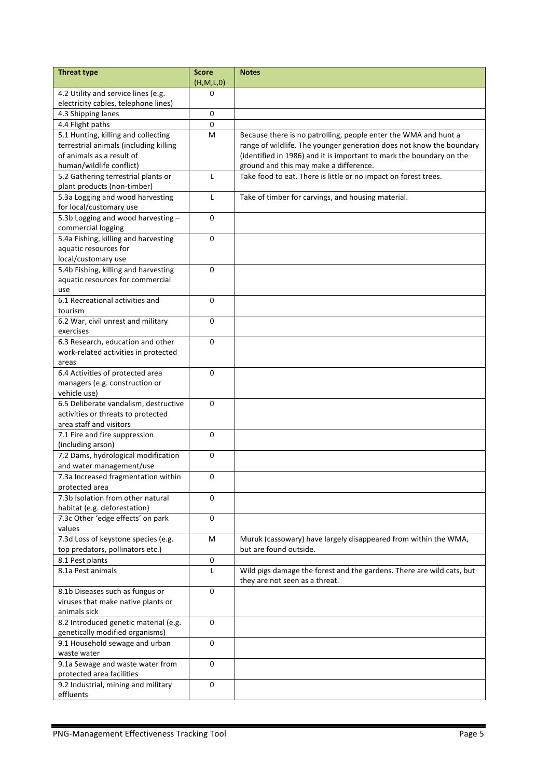| <b>Threat type</b>                     | <b>Score</b><br>(H,M,L,0) | <b>Notes</b>                                                          |
|----------------------------------------|---------------------------|-----------------------------------------------------------------------|
| 4.2 Utility and service lines (e.g.    | 0                         |                                                                       |
|                                        |                           |                                                                       |
| electricity cables, telephone lines)   |                           |                                                                       |
| 4.3 Shipping lanes                     | $\mathbf 0$               |                                                                       |
| 4.4 Flight paths                       | 0                         |                                                                       |
| 5.1 Hunting, killing and collecting    | M                         | Because there is no patrolling, people enter the WMA and hunt a       |
| terrestrial animals (including killing |                           | range of wildlife. The younger generation does not know the boundary  |
| of animals as a result of              |                           | (identified in 1986) and it is important to mark the boundary on the  |
| human/wildlife conflict)               |                           | ground and this may make a difference.                                |
| 5.2 Gathering terrestrial plants or    | L                         | Take food to eat. There is little or no impact on forest trees.       |
| plant products (non-timber)            |                           |                                                                       |
| 5.3a Logging and wood harvesting       | L                         | Take of timber for carvings, and housing material.                    |
| for local/customary use                |                           |                                                                       |
| 5.3b Logging and wood harvesting-      | 0                         |                                                                       |
| commercial logging                     |                           |                                                                       |
| 5.4a Fishing, killing and harvesting   | $\mathbf 0$               |                                                                       |
| aquatic resources for                  |                           |                                                                       |
|                                        |                           |                                                                       |
| local/customary use                    |                           |                                                                       |
| 5.4b Fishing, killing and harvesting   | $\Omega$                  |                                                                       |
| aquatic resources for commercial       |                           |                                                                       |
| use                                    |                           |                                                                       |
| 6.1 Recreational activities and        | 0                         |                                                                       |
| tourism                                |                           |                                                                       |
| 6.2 War, civil unrest and military     | 0                         |                                                                       |
| exercises                              |                           |                                                                       |
| 6.3 Research, education and other      | 0                         |                                                                       |
| work-related activities in protected   |                           |                                                                       |
| areas                                  |                           |                                                                       |
| 6.4 Activities of protected area       | 0                         |                                                                       |
| managers (e.g. construction or         |                           |                                                                       |
| vehicle use)                           |                           |                                                                       |
| 6.5 Deliberate vandalism, destructive  | $\Omega$                  |                                                                       |
| activities or threats to protected     |                           |                                                                       |
| area staff and visitors                |                           |                                                                       |
|                                        |                           |                                                                       |
| 7.1 Fire and fire suppression          | $\mathbf{0}$              |                                                                       |
| (including arson)                      |                           |                                                                       |
| 7.2 Dams, hydrological modification    | 0                         |                                                                       |
| and water management/use               |                           |                                                                       |
| 7.3a Increased fragmentation within    | 0                         |                                                                       |
| protected area                         |                           |                                                                       |
| 7.3b Isolation from other natural      | 0                         |                                                                       |
| habitat (e.g. deforestation)           |                           |                                                                       |
| 7.3c Other 'edge effects' on park      | $\mathbf 0$               |                                                                       |
| values                                 |                           |                                                                       |
| 7.3d Loss of keystone species (e.g.    | M                         | Muruk (cassowary) have largely disappeared from within the WMA,       |
| top predators, pollinators etc.)       |                           | but are found outside.                                                |
| 8.1 Pest plants                        | 0                         |                                                                       |
| 8.1a Pest animals                      | L                         | Wild pigs damage the forest and the gardens. There are wild cats, but |
|                                        |                           | they are not seen as a threat.                                        |
|                                        |                           |                                                                       |
| 8.1b Diseases such as fungus or        | 0                         |                                                                       |
| viruses that make native plants or     |                           |                                                                       |
| animals sick                           |                           |                                                                       |
| 8.2 Introduced genetic material (e.g.  | 0                         |                                                                       |
| genetically modified organisms)        |                           |                                                                       |
| 9.1 Household sewage and urban         | 0                         |                                                                       |
| waste water                            |                           |                                                                       |
| 9.1a Sewage and waste water from       | 0                         |                                                                       |
| protected area facilities              |                           |                                                                       |
| 9.2 Industrial, mining and military    | 0                         |                                                                       |
| effluents                              |                           |                                                                       |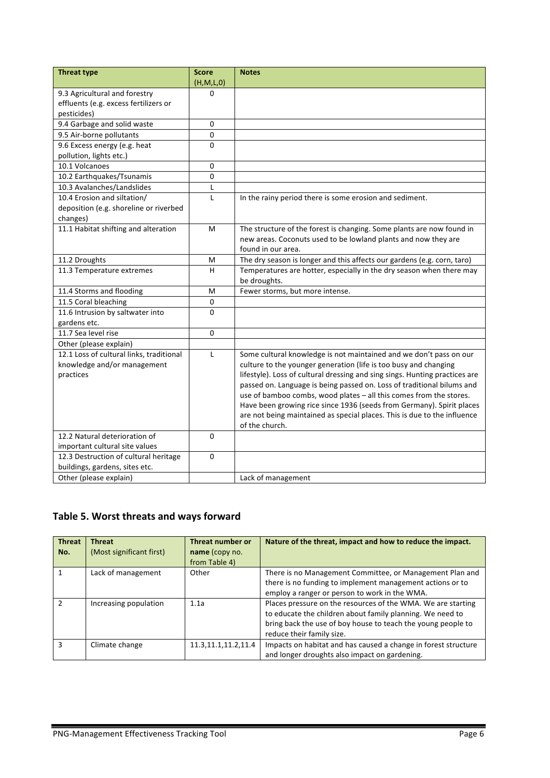| <b>Threat type</b>                                      | <b>Score</b> | <b>Notes</b>                                                                |
|---------------------------------------------------------|--------------|-----------------------------------------------------------------------------|
|                                                         | (H,M,L,0)    |                                                                             |
| 9.3 Agricultural and forestry                           | O            |                                                                             |
| effluents (e.g. excess fertilizers or                   |              |                                                                             |
| pesticides)                                             |              |                                                                             |
| 9.4 Garbage and solid waste                             | 0            |                                                                             |
| 9.5 Air-borne pollutants                                | 0            |                                                                             |
| 9.6 Excess energy (e.g. heat<br>pollution, lights etc.) | 0            |                                                                             |
| 10.1 Volcanoes                                          | 0            |                                                                             |
| 10.2 Earthquakes/Tsunamis                               | 0            |                                                                             |
| 10.3 Avalanches/Landslides                              | L            |                                                                             |
| 10.4 Erosion and siltation/                             | L            | In the rainy period there is some erosion and sediment.                     |
| deposition (e.g. shoreline or riverbed                  |              |                                                                             |
| changes)                                                |              |                                                                             |
| 11.1 Habitat shifting and alteration                    | M            | The structure of the forest is changing. Some plants are now found in       |
|                                                         |              | new areas. Coconuts used to be lowland plants and now they are              |
|                                                         |              | found in our area.                                                          |
| 11.2 Droughts                                           | M            | The dry season is longer and this affects our gardens (e.g. corn, taro)     |
| 11.3 Temperature extremes                               | H            | Temperatures are hotter, especially in the dry season when there may        |
|                                                         |              | be droughts.                                                                |
| 11.4 Storms and flooding                                | M            | Fewer storms, but more intense.                                             |
| 11.5 Coral bleaching                                    | 0            |                                                                             |
| 11.6 Intrusion by saltwater into                        | 0            |                                                                             |
| gardens etc.                                            |              |                                                                             |
| 11.7 Sea level rise                                     | 0            |                                                                             |
| Other (please explain)                                  |              |                                                                             |
| 12.1 Loss of cultural links, traditional                | L            | Some cultural knowledge is not maintained and we don't pass on our          |
| knowledge and/or management                             |              | culture to the younger generation (life is too busy and changing            |
| practices                                               |              | lifestyle). Loss of cultural dressing and sing sings. Hunting practices are |
|                                                         |              | passed on. Language is being passed on. Loss of traditional bilums and      |
|                                                         |              | use of bamboo combs, wood plates - all this comes from the stores.          |
|                                                         |              | Have been growing rice since 1936 (seeds from Germany). Spirit places       |
|                                                         |              | are not being maintained as special places. This is due to the influence    |
|                                                         |              | of the church.                                                              |
| 12.2 Natural deterioration of                           | 0            |                                                                             |
| important cultural site values                          |              |                                                                             |
| 12.3 Destruction of cultural heritage                   | 0            |                                                                             |
| buildings, gardens, sites etc.                          |              |                                                                             |
| Other (please explain)                                  |              | Lack of management                                                          |

# Table 5. Worst threats and ways forward

| <b>Threat</b><br>No. | <b>Threat</b><br>(Most significant first) | <b>Threat number or</b><br>name (copy no.<br>from Table 4) | Nature of the threat, impact and how to reduce the impact.                                                                                                                                                             |
|----------------------|-------------------------------------------|------------------------------------------------------------|------------------------------------------------------------------------------------------------------------------------------------------------------------------------------------------------------------------------|
|                      | Lack of management                        | Other                                                      | There is no Management Committee, or Management Plan and<br>there is no funding to implement management actions or to<br>employ a ranger or person to work in the WMA.                                                 |
|                      | Increasing population                     | 1.1a                                                       | Places pressure on the resources of the WMA. We are starting<br>to educate the children about family planning. We need to<br>bring back the use of boy house to teach the young people to<br>reduce their family size. |
| з                    | Climate change                            | 11.3, 11.1, 11.2, 11.4                                     | Impacts on habitat and has caused a change in forest structure<br>and longer droughts also impact on gardening.                                                                                                        |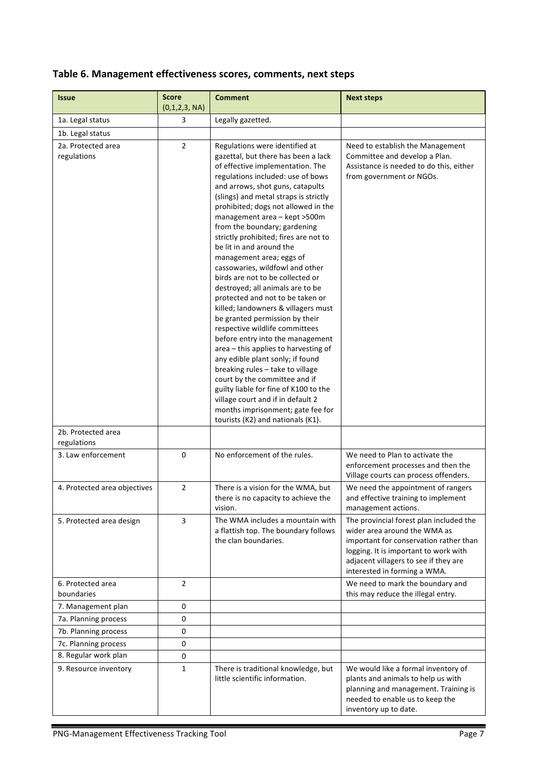## Table 6. Management effectiveness scores, comments, next steps

| <b>Issue</b>                      | <b>Score</b><br>(0,1,2,3, NA) | <b>Comment</b>                                                                                                                                                                                                                                                                                                                                                                                                                                                                                                                                                                                                                                                                                                                                                                                                                                                                                                                                                                                                                             | <b>Next steps</b>                                                                                                                                                                                                                   |
|-----------------------------------|-------------------------------|--------------------------------------------------------------------------------------------------------------------------------------------------------------------------------------------------------------------------------------------------------------------------------------------------------------------------------------------------------------------------------------------------------------------------------------------------------------------------------------------------------------------------------------------------------------------------------------------------------------------------------------------------------------------------------------------------------------------------------------------------------------------------------------------------------------------------------------------------------------------------------------------------------------------------------------------------------------------------------------------------------------------------------------------|-------------------------------------------------------------------------------------------------------------------------------------------------------------------------------------------------------------------------------------|
| 1a. Legal status                  | 3                             | Legally gazetted.                                                                                                                                                                                                                                                                                                                                                                                                                                                                                                                                                                                                                                                                                                                                                                                                                                                                                                                                                                                                                          |                                                                                                                                                                                                                                     |
| 1b. Legal status                  |                               |                                                                                                                                                                                                                                                                                                                                                                                                                                                                                                                                                                                                                                                                                                                                                                                                                                                                                                                                                                                                                                            |                                                                                                                                                                                                                                     |
| 2a. Protected area<br>regulations | $\overline{2}$                | Regulations were identified at<br>gazettal, but there has been a lack<br>of effective implementation. The<br>regulations included: use of bows<br>and arrows, shot guns, catapults<br>(slings) and metal straps is strictly<br>prohibited; dogs not allowed in the<br>management area - kept >500m<br>from the boundary; gardening<br>strictly prohibited; fires are not to<br>be lit in and around the<br>management area; eggs of<br>cassowaries, wildfowl and other<br>birds are not to be collected or<br>destroyed; all animals are to be<br>protected and not to be taken or<br>killed; landowners & villagers must<br>be granted permission by their<br>respective wildlife committees<br>before entry into the management<br>area - this applies to harvesting of<br>any edible plant sonly; if found<br>breaking rules - take to village<br>court by the committee and if<br>guilty liable for fine of K100 to the<br>village court and if in default 2<br>months imprisonment; gate fee for<br>tourists (K2) and nationals (K1). | Need to establish the Management<br>Committee and develop a Plan.<br>Assistance is needed to do this, either<br>from government or NGOs.                                                                                            |
| 2b. Protected area<br>regulations |                               |                                                                                                                                                                                                                                                                                                                                                                                                                                                                                                                                                                                                                                                                                                                                                                                                                                                                                                                                                                                                                                            |                                                                                                                                                                                                                                     |
| 3. Law enforcement                | 0                             | No enforcement of the rules.                                                                                                                                                                                                                                                                                                                                                                                                                                                                                                                                                                                                                                                                                                                                                                                                                                                                                                                                                                                                               | We need to Plan to activate the<br>enforcement processes and then the<br>Village courts can process offenders.                                                                                                                      |
| 4. Protected area objectives      | $\overline{2}$                | There is a vision for the WMA, but<br>there is no capacity to achieve the<br>vision.                                                                                                                                                                                                                                                                                                                                                                                                                                                                                                                                                                                                                                                                                                                                                                                                                                                                                                                                                       | We need the appointment of rangers<br>and effective training to implement<br>management actions.                                                                                                                                    |
| 5. Protected area design          | 3                             | The WMA includes a mountain with<br>a flattish top. The boundary follows<br>the clan boundaries.                                                                                                                                                                                                                                                                                                                                                                                                                                                                                                                                                                                                                                                                                                                                                                                                                                                                                                                                           | The provincial forest plan included the<br>wider area around the WMA as<br>important for conservation rather than<br>logging. It is important to work with<br>adjacent villagers to see if they are<br>interested in forming a WMA. |
| 6. Protected area<br>boundaries   | $\overline{2}$                |                                                                                                                                                                                                                                                                                                                                                                                                                                                                                                                                                                                                                                                                                                                                                                                                                                                                                                                                                                                                                                            | We need to mark the boundary and<br>this may reduce the illegal entry.                                                                                                                                                              |
| 7. Management plan                | 0                             |                                                                                                                                                                                                                                                                                                                                                                                                                                                                                                                                                                                                                                                                                                                                                                                                                                                                                                                                                                                                                                            |                                                                                                                                                                                                                                     |
| 7a. Planning process              | 0                             |                                                                                                                                                                                                                                                                                                                                                                                                                                                                                                                                                                                                                                                                                                                                                                                                                                                                                                                                                                                                                                            |                                                                                                                                                                                                                                     |
| 7b. Planning process              | 0                             |                                                                                                                                                                                                                                                                                                                                                                                                                                                                                                                                                                                                                                                                                                                                                                                                                                                                                                                                                                                                                                            |                                                                                                                                                                                                                                     |
| 7c. Planning process              | 0                             |                                                                                                                                                                                                                                                                                                                                                                                                                                                                                                                                                                                                                                                                                                                                                                                                                                                                                                                                                                                                                                            |                                                                                                                                                                                                                                     |
| 8. Regular work plan              | 0                             |                                                                                                                                                                                                                                                                                                                                                                                                                                                                                                                                                                                                                                                                                                                                                                                                                                                                                                                                                                                                                                            |                                                                                                                                                                                                                                     |
| 9. Resource inventory             | $\mathbf{1}$                  | There is traditional knowledge, but<br>little scientific information.                                                                                                                                                                                                                                                                                                                                                                                                                                                                                                                                                                                                                                                                                                                                                                                                                                                                                                                                                                      | We would like a formal inventory of<br>plants and animals to help us with<br>planning and management. Training is<br>needed to enable us to keep the<br>inventory up to date.                                                       |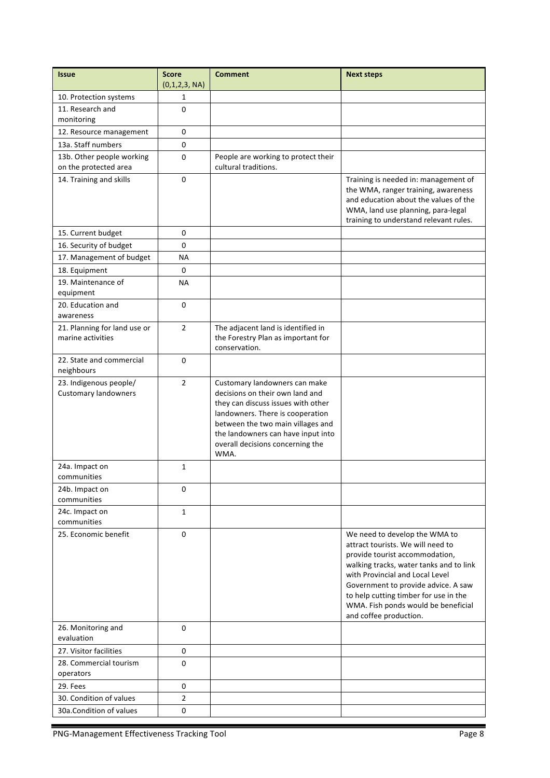| <b>Issue</b>                                          | <b>Score</b><br>(0,1,2,3, NA) | <b>Comment</b>                                                                                                                                                                                                                                                    | <b>Next steps</b>                                                                                                                                                                                                                                                                                                                   |
|-------------------------------------------------------|-------------------------------|-------------------------------------------------------------------------------------------------------------------------------------------------------------------------------------------------------------------------------------------------------------------|-------------------------------------------------------------------------------------------------------------------------------------------------------------------------------------------------------------------------------------------------------------------------------------------------------------------------------------|
| 10. Protection systems                                | 1                             |                                                                                                                                                                                                                                                                   |                                                                                                                                                                                                                                                                                                                                     |
| 11. Research and<br>monitoring                        | $\Omega$                      |                                                                                                                                                                                                                                                                   |                                                                                                                                                                                                                                                                                                                                     |
| 12. Resource management                               | 0                             |                                                                                                                                                                                                                                                                   |                                                                                                                                                                                                                                                                                                                                     |
| 13a. Staff numbers                                    | 0                             |                                                                                                                                                                                                                                                                   |                                                                                                                                                                                                                                                                                                                                     |
| 13b. Other people working                             | 0                             | People are working to protect their                                                                                                                                                                                                                               |                                                                                                                                                                                                                                                                                                                                     |
| on the protected area                                 |                               | cultural traditions.                                                                                                                                                                                                                                              |                                                                                                                                                                                                                                                                                                                                     |
| 14. Training and skills                               | 0                             |                                                                                                                                                                                                                                                                   | Training is needed in: management of<br>the WMA, ranger training, awareness<br>and education about the values of the<br>WMA, land use planning, para-legal<br>training to understand relevant rules.                                                                                                                                |
| 15. Current budget                                    | $\Omega$                      |                                                                                                                                                                                                                                                                   |                                                                                                                                                                                                                                                                                                                                     |
| 16. Security of budget                                | 0                             |                                                                                                                                                                                                                                                                   |                                                                                                                                                                                                                                                                                                                                     |
| 17. Management of budget                              | <b>NA</b>                     |                                                                                                                                                                                                                                                                   |                                                                                                                                                                                                                                                                                                                                     |
| 18. Equipment                                         | $\Omega$                      |                                                                                                                                                                                                                                                                   |                                                                                                                                                                                                                                                                                                                                     |
| 19. Maintenance of<br>equipment                       | <b>NA</b>                     |                                                                                                                                                                                                                                                                   |                                                                                                                                                                                                                                                                                                                                     |
| 20. Education and<br>awareness                        | $\Omega$                      |                                                                                                                                                                                                                                                                   |                                                                                                                                                                                                                                                                                                                                     |
| 21. Planning for land use or<br>marine activities     | $\overline{2}$                | The adjacent land is identified in<br>the Forestry Plan as important for<br>conservation.                                                                                                                                                                         |                                                                                                                                                                                                                                                                                                                                     |
| 22. State and commercial<br>neighbours                | $\Omega$                      |                                                                                                                                                                                                                                                                   |                                                                                                                                                                                                                                                                                                                                     |
| 23. Indigenous people/<br><b>Customary landowners</b> | $\overline{2}$                | Customary landowners can make<br>decisions on their own land and<br>they can discuss issues with other<br>landowners. There is cooperation<br>between the two main villages and<br>the landowners can have input into<br>overall decisions concerning the<br>WMA. |                                                                                                                                                                                                                                                                                                                                     |
| 24a. Impact on<br>communities                         | 1                             |                                                                                                                                                                                                                                                                   |                                                                                                                                                                                                                                                                                                                                     |
| 24b. Impact on<br>communities                         | $\pmb{0}$                     |                                                                                                                                                                                                                                                                   |                                                                                                                                                                                                                                                                                                                                     |
| 24c. Impact on<br>communities                         | $\mathbf 1$                   |                                                                                                                                                                                                                                                                   |                                                                                                                                                                                                                                                                                                                                     |
| 25. Economic benefit                                  | $\mathbf 0$                   |                                                                                                                                                                                                                                                                   | We need to develop the WMA to<br>attract tourists. We will need to<br>provide tourist accommodation,<br>walking tracks, water tanks and to link<br>with Provincial and Local Level<br>Government to provide advice. A saw<br>to help cutting timber for use in the<br>WMA. Fish ponds would be beneficial<br>and coffee production. |
| 26. Monitoring and<br>evaluation                      | 0                             |                                                                                                                                                                                                                                                                   |                                                                                                                                                                                                                                                                                                                                     |
| 27. Visitor facilities                                | 0                             |                                                                                                                                                                                                                                                                   |                                                                                                                                                                                                                                                                                                                                     |
| 28. Commercial tourism<br>operators                   | 0                             |                                                                                                                                                                                                                                                                   |                                                                                                                                                                                                                                                                                                                                     |
| 29. Fees                                              | 0                             |                                                                                                                                                                                                                                                                   |                                                                                                                                                                                                                                                                                                                                     |
| 30. Condition of values                               | $\overline{2}$                |                                                                                                                                                                                                                                                                   |                                                                                                                                                                                                                                                                                                                                     |
|                                                       |                               |                                                                                                                                                                                                                                                                   |                                                                                                                                                                                                                                                                                                                                     |
| 30a.Condition of values                               | 0                             |                                                                                                                                                                                                                                                                   |                                                                                                                                                                                                                                                                                                                                     |